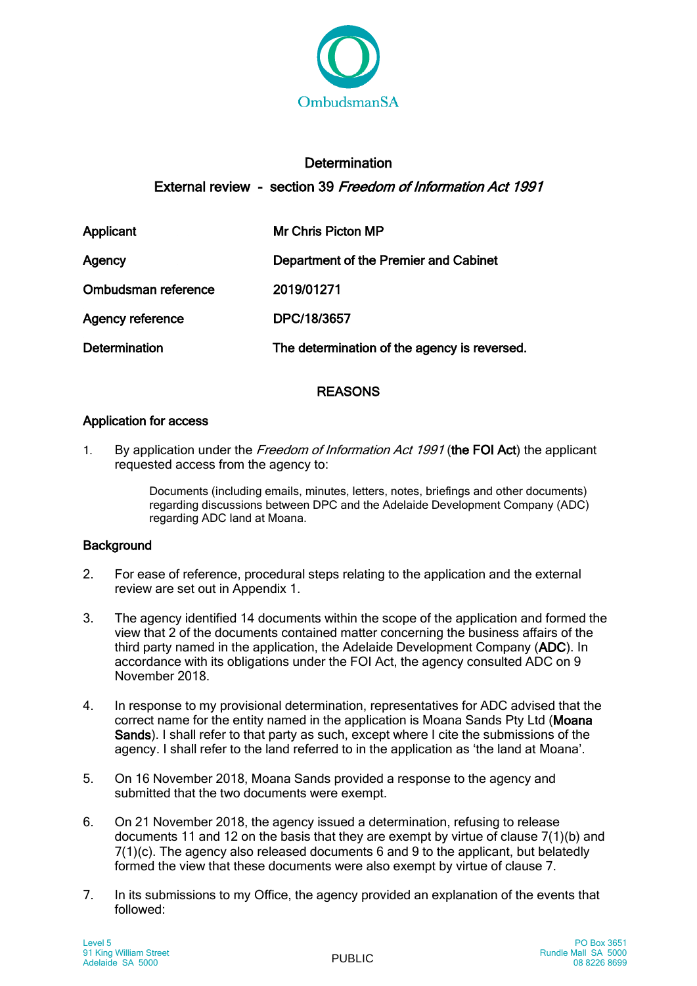

# **Determination** External review - section 39 Freedom of Information Act 1991

| Applicant               | Mr Chris Picton MP                           |
|-------------------------|----------------------------------------------|
| Agency                  | Department of the Premier and Cabinet        |
| Ombudsman reference     | 2019/01271                                   |
| <b>Agency reference</b> | DPC/18/3657                                  |
| <b>Determination</b>    | The determination of the agency is reversed. |

## REASONS

## Application for access

1. By application under the Freedom of Information Act 1991 (the FOI Act) the applicant requested access from the agency to:

> Documents (including emails, minutes, letters, notes, briefings and other documents) regarding discussions between DPC and the Adelaide Development Company (ADC) regarding ADC land at Moana.

## **Background**

- 2. For ease of reference, procedural steps relating to the application and the external review are set out in Appendix 1.
- 3. The agency identified 14 documents within the scope of the application and formed the view that 2 of the documents contained matter concerning the business affairs of the third party named in the application, the Adelaide Development Company (ADC). In accordance with its obligations under the FOI Act, the agency consulted ADC on 9 November 2018.
- 4. In response to my provisional determination, representatives for ADC advised that the correct name for the entity named in the application is Moana Sands Pty Ltd (Moana Sands). I shall refer to that party as such, except where I cite the submissions of the agency. I shall refer to the land referred to in the application as 'the land at Moana'.
- 5. On 16 November 2018, Moana Sands provided a response to the agency and submitted that the two documents were exempt.
- 6. On 21 November 2018, the agency issued a determination, refusing to release documents 11 and 12 on the basis that they are exempt by virtue of clause 7(1)(b) and 7(1)(c). The agency also released documents 6 and 9 to the applicant, but belatedly formed the view that these documents were also exempt by virtue of clause 7.
- 7. In its submissions to my Office, the agency provided an explanation of the events that followed: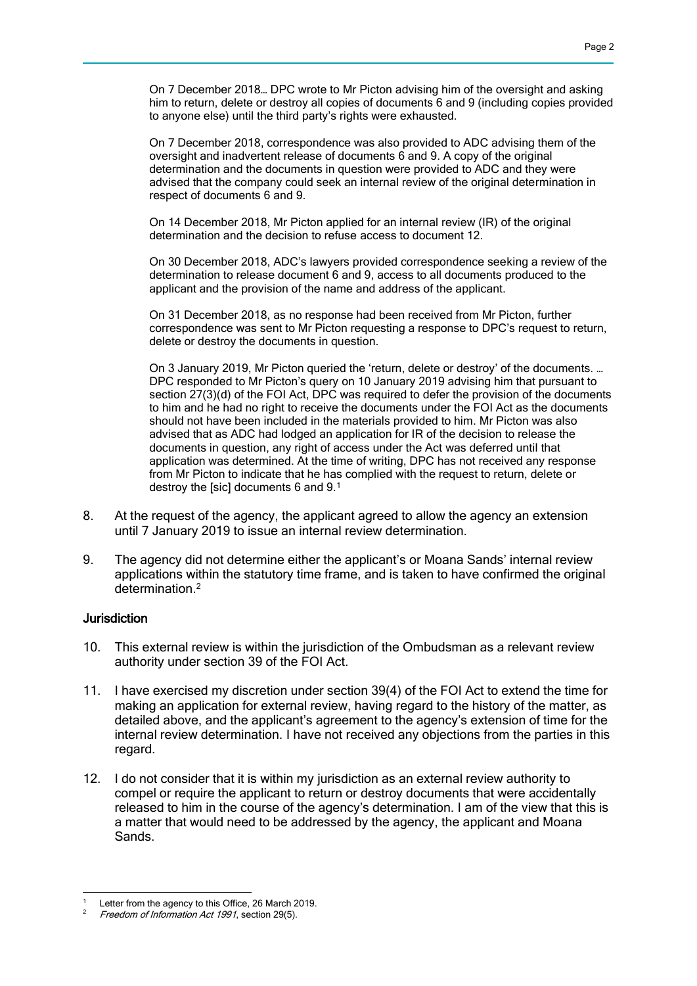On 7 December 2018… DPC wrote to Mr Picton advising him of the oversight and asking him to return, delete or destroy all copies of documents 6 and 9 (including copies provided to anyone else) until the third party's rights were exhausted.

On 7 December 2018, correspondence was also provided to ADC advising them of the oversight and inadvertent release of documents 6 and 9. A copy of the original determination and the documents in question were provided to ADC and they were advised that the company could seek an internal review of the original determination in respect of documents 6 and 9.

On 14 December 2018, Mr Picton applied for an internal review (IR) of the original determination and the decision to refuse access to document 12.

On 30 December 2018, ADC's lawyers provided correspondence seeking a review of the determination to release document 6 and 9, access to all documents produced to the applicant and the provision of the name and address of the applicant.

On 31 December 2018, as no response had been received from Mr Picton, further correspondence was sent to Mr Picton requesting a response to DPC's request to return, delete or destroy the documents in question.

On 3 January 2019, Mr Picton queried the 'return, delete or destroy' of the documents. … DPC responded to Mr Picton's query on 10 January 2019 advising him that pursuant to section 27(3)(d) of the FOI Act, DPC was required to defer the provision of the documents to him and he had no right to receive the documents under the FOI Act as the documents should not have been included in the materials provided to him. Mr Picton was also advised that as ADC had lodged an application for IR of the decision to release the documents in question, any right of access under the Act was deferred until that application was determined. At the time of writing, DPC has not received any response from Mr Picton to indicate that he has complied with the request to return, delete or destroy the [sic] documents 6 and 9.<sup>1</sup>

- 8. At the request of the agency, the applicant agreed to allow the agency an extension until 7 January 2019 to issue an internal review determination.
- 9. The agency did not determine either the applicant's or Moana Sands' internal review applications within the statutory time frame, and is taken to have confirmed the original determination<sup>2</sup>

#### **Jurisdiction**

- 10. This external review is within the jurisdiction of the Ombudsman as a relevant review authority under section 39 of the FOI Act.
- 11. I have exercised my discretion under section 39(4) of the FOI Act to extend the time for making an application for external review, having regard to the history of the matter, as detailed above, and the applicant's agreement to the agency's extension of time for the internal review determination. I have not received any objections from the parties in this regard.
- 12. I do not consider that it is within my jurisdiction as an external review authority to compel or require the applicant to return or destroy documents that were accidentally released to him in the course of the agency's determination. I am of the view that this is a matter that would need to be addressed by the agency, the applicant and Moana Sands.

 Letter from the agency to this Office, 26 March 2019.

Freedom of Information Act 1991, section 29(5).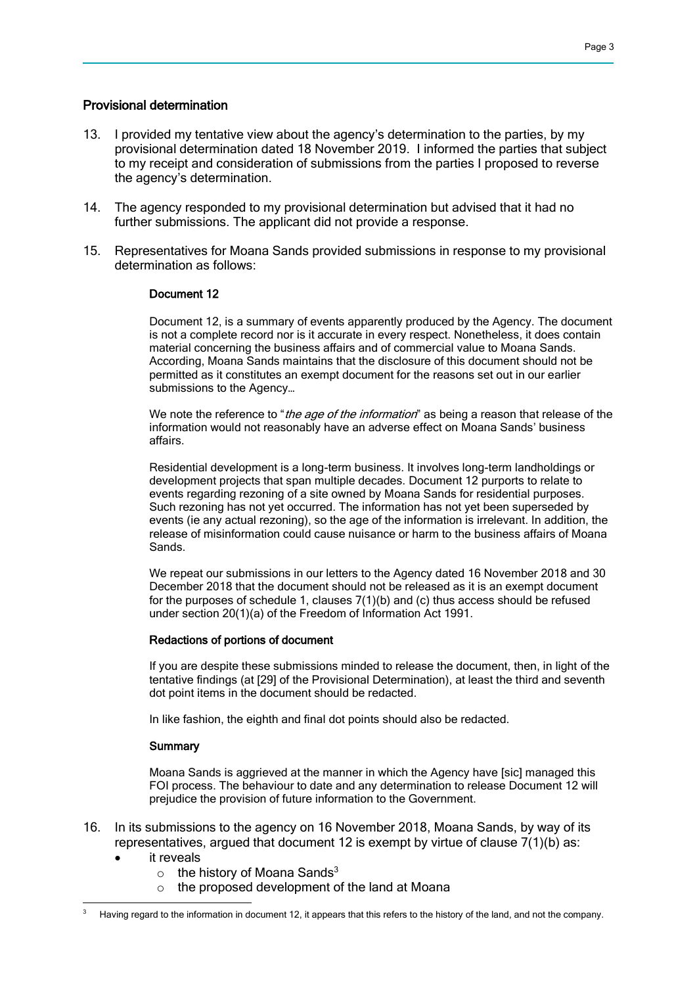#### Provisional determination

- 13. I provided my tentative view about the agency's determination to the parties, by my provisional determination dated 18 November 2019. I informed the parties that subject to my receipt and consideration of submissions from the parties I proposed to reverse the agency's determination.
- 14. The agency responded to my provisional determination but advised that it had no further submissions. The applicant did not provide a response.
- 15. Representatives for Moana Sands provided submissions in response to my provisional determination as follows:

#### Document 12

Document 12, is a summary of events apparently produced by the Agency. The document is not a complete record nor is it accurate in every respect. Nonetheless, it does contain material concerning the business affairs and of commercial value to Moana Sands. According, Moana Sands maintains that the disclosure of this document should not be permitted as it constitutes an exempt document for the reasons set out in our earlier submissions to the Agency…

We note the reference to "*the age of the information*" as being a reason that release of the information would not reasonably have an adverse effect on Moana Sands' business affairs.

Residential development is a long-term business. It involves long-term landholdings or development projects that span multiple decades. Document 12 purports to relate to events regarding rezoning of a site owned by Moana Sands for residential purposes. Such rezoning has not yet occurred. The information has not yet been superseded by events (ie any actual rezoning), so the age of the information is irrelevant. In addition, the release of misinformation could cause nuisance or harm to the business affairs of Moana Sands.

We repeat our submissions in our letters to the Agency dated 16 November 2018 and 30 December 2018 that the document should not be released as it is an exempt document for the purposes of schedule 1, clauses 7(1)(b) and (c) thus access should be refused under section 20(1)(a) of the Freedom of Information Act 1991.

#### Redactions of portions of document

If you are despite these submissions minded to release the document, then, in light of the tentative findings (at [29] of the Provisional Determination), at least the third and seventh dot point items in the document should be redacted.

In like fashion, the eighth and final dot points should also be redacted.

#### **Summary**

Moana Sands is aggrieved at the manner in which the Agency have [sic] managed this FOI process. The behaviour to date and any determination to release Document 12 will prejudice the provision of future information to the Government.

- 16. In its submissions to the agency on 16 November 2018, Moana Sands, by way of its representatives, argued that document 12 is exempt by virtue of clause 7(1)(b) as:
	- it reveals

- $\circ$  the history of Moana Sands<sup>3</sup>
- o the proposed development of the land at Moana

Having regard to the information in document 12, it appears that this refers to the history of the land, and not the company.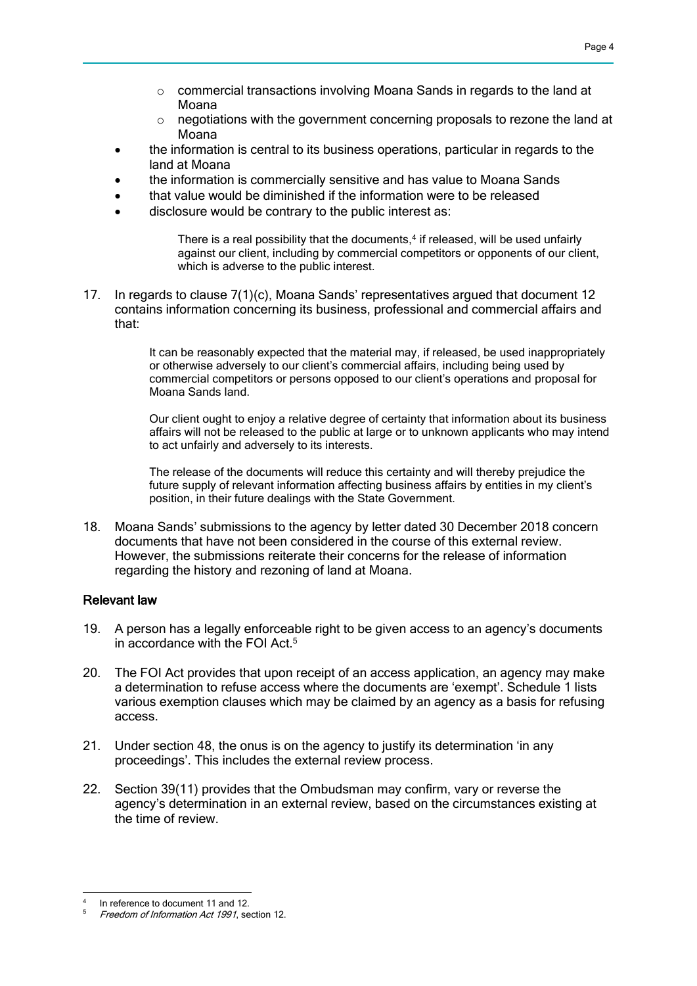- o commercial transactions involving Moana Sands in regards to the land at Moana
- o negotiations with the government concerning proposals to rezone the land at Moana
- the information is central to its business operations, particular in regards to the land at Moana
- the information is commercially sensitive and has value to Moana Sands
- that value would be diminished if the information were to be released
- disclosure would be contrary to the public interest as:

There is a real possibility that the documents, $4$  if released, will be used unfairly against our client, including by commercial competitors or opponents of our client, which is adverse to the public interest.

17. In regards to clause 7(1)(c), Moana Sands' representatives argued that document 12 contains information concerning its business, professional and commercial affairs and that:

> It can be reasonably expected that the material may, if released, be used inappropriately or otherwise adversely to our client's commercial affairs, including being used by commercial competitors or persons opposed to our client's operations and proposal for Moana Sands land.

Our client ought to enjoy a relative degree of certainty that information about its business affairs will not be released to the public at large or to unknown applicants who may intend to act unfairly and adversely to its interests.

The release of the documents will reduce this certainty and will thereby prejudice the future supply of relevant information affecting business affairs by entities in my client's position, in their future dealings with the State Government.

18. Moana Sands' submissions to the agency by letter dated 30 December 2018 concern documents that have not been considered in the course of this external review. However, the submissions reiterate their concerns for the release of information regarding the history and rezoning of land at Moana.

#### Relevant law

- 19. A person has a legally enforceable right to be given access to an agency's documents in accordance with the FOI Act.<sup>5</sup>
- 20. The FOI Act provides that upon receipt of an access application, an agency may make a determination to refuse access where the documents are 'exempt'. Schedule 1 lists various exemption clauses which may be claimed by an agency as a basis for refusing access.
- 21. Under section 48, the onus is on the agency to justify its determination 'in any proceedings'. This includes the external review process.
- 22. Section 39(11) provides that the Ombudsman may confirm, vary or reverse the agency's determination in an external review, based on the circumstances existing at the time of review.

 4 In reference to document 11 and 12.

<sup>5</sup> Freedom of Information Act 1991, section 12.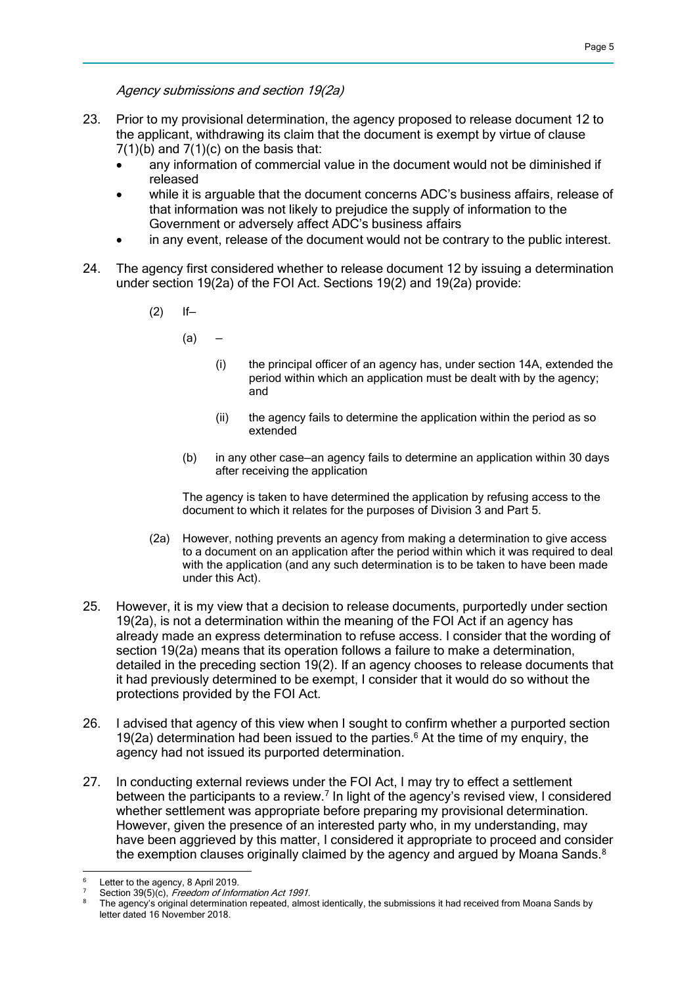Agency submissions and section 19(2a)

- 23. Prior to my provisional determination, the agency proposed to release document 12 to the applicant, withdrawing its claim that the document is exempt by virtue of clause  $7(1)(b)$  and  $7(1)(c)$  on the basis that:
	- any information of commercial value in the document would not be diminished if released
	- while it is arguable that the document concerns ADC's business affairs, release of that information was not likely to prejudice the supply of information to the Government or adversely affect ADC's business affairs
	- in any event, release of the document would not be contrary to the public interest.
- 24. The agency first considered whether to release document 12 by issuing a determination under section 19(2a) of the FOI Act. Sections 19(2) and 19(2a) provide:
	- $(2)$  If-
		- $(a)$   $-$ 
			- (i) the principal officer of an agency has, under section 14A, extended the period within which an application must be dealt with by the agency; and
			- (ii) the agency fails to determine the application within the period as so extended
		- (b) in any other case—an agency fails to determine an application within 30 days after receiving the application

The agency is taken to have determined the application by refusing access to the document to which it relates for the purposes of Division 3 and Part 5.

- (2a) However, nothing prevents an agency from making a determination to give access to a document on an application after the period within which it was required to deal with the application (and any such determination is to be taken to have been made under this Act).
- 25. However, it is my view that a decision to release documents, purportedly under section 19(2a), is not a determination within the meaning of the FOI Act if an agency has already made an express determination to refuse access. I consider that the wording of section 19(2a) means that its operation follows a failure to make a determination, detailed in the preceding section 19(2). If an agency chooses to release documents that it had previously determined to be exempt, I consider that it would do so without the protections provided by the FOI Act.
- 26. I advised that agency of this view when I sought to confirm whether a purported section 19(2a) determination had been issued to the parties.<sup>6</sup> At the time of my enquiry, the agency had not issued its purported determination.
- 27. In conducting external reviews under the FOI Act, I may try to effect a settlement between the participants to a review.<sup>7</sup> In light of the agency's revised view, I considered whether settlement was appropriate before preparing my provisional determination. However, given the presence of an interested party who, in my understanding, may have been aggrieved by this matter, I considered it appropriate to proceed and consider the exemption clauses originally claimed by the agency and argued by Moana Sands.<sup>8</sup>

 $\overline{a}$ Letter to the agency, 8 April 2019.

Section 39(5)(c), Freedom of Information Act 1991.

The agency's original determination repeated, almost identically, the submissions it had received from Moana Sands by letter dated 16 November 2018.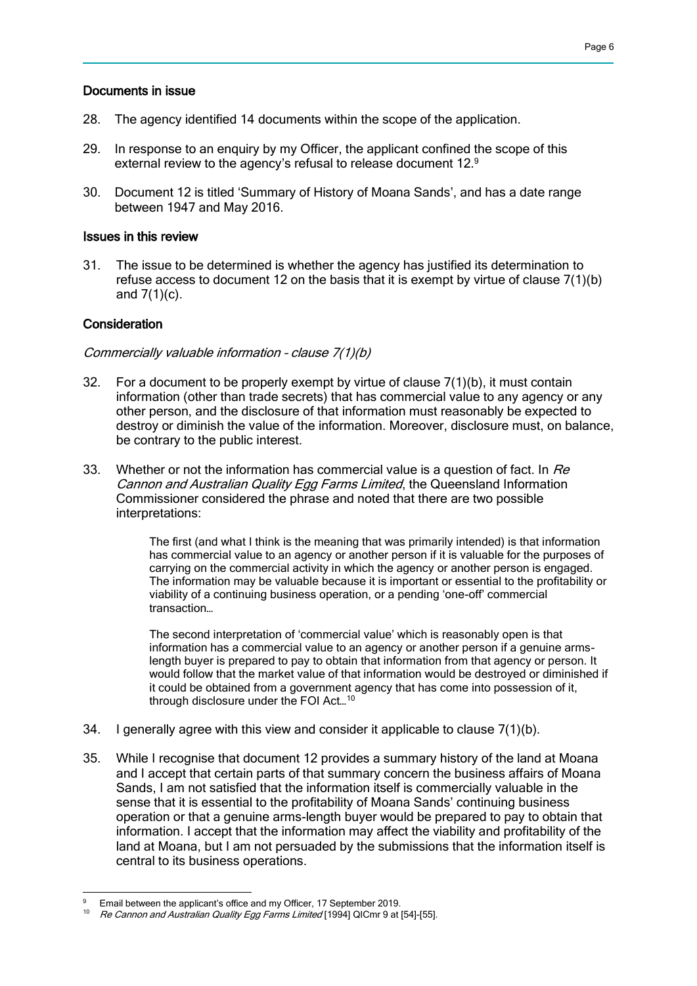### Documents in issue

- 28. The agency identified 14 documents within the scope of the application.
- 29. In response to an enquiry by my Officer, the applicant confined the scope of this external review to the agency's refusal to release document 12.<sup>9</sup>
- 30. Document 12 is titled 'Summary of History of Moana Sands', and has a date range between 1947 and May 2016.

### Issues in this review

31. The issue to be determined is whether the agency has justified its determination to refuse access to document 12 on the basis that it is exempt by virtue of clause 7(1)(b) and  $7(1)(c)$ .

### Consideration

#### Commercially valuable information – clause 7(1)(b)

- 32. For a document to be properly exempt by virtue of clause 7(1)(b), it must contain information (other than trade secrets) that has commercial value to any agency or any other person, and the disclosure of that information must reasonably be expected to destroy or diminish the value of the information. Moreover, disclosure must, on balance, be contrary to the public interest.
- 33. Whether or not the information has commercial value is a question of fact. In  $Re$ Cannon and Australian Quality Egg Farms Limited, the Queensland Information Commissioner considered the phrase and noted that there are two possible interpretations:

The first (and what I think is the meaning that was primarily intended) is that information has commercial value to an agency or another person if it is valuable for the purposes of carrying on the commercial activity in which the agency or another person is engaged. The information may be valuable because it is important or essential to the profitability or viability of a continuing business operation, or a pending 'one-off' commercial transaction…

The second interpretation of 'commercial value' which is reasonably open is that information has a commercial value to an agency or another person if a genuine armslength buyer is prepared to pay to obtain that information from that agency or person. It would follow that the market value of that information would be destroyed or diminished if it could be obtained from a government agency that has come into possession of it, through disclosure under the FOI Act…<sup>10</sup>

- 34. I generally agree with this view and consider it applicable to clause 7(1)(b).
- 35. While I recognise that document 12 provides a summary history of the land at Moana and I accept that certain parts of that summary concern the business affairs of Moana Sands, I am not satisfied that the information itself is commercially valuable in the sense that it is essential to the profitability of Moana Sands' continuing business operation or that a genuine arms-length buyer would be prepared to pay to obtain that information. I accept that the information may affect the viability and profitability of the land at Moana, but I am not persuaded by the submissions that the information itself is central to its business operations.

 Email between the applicant's office and my Officer, 17 September 2019.

Re Cannon and Australian Quality Egg Farms Limited [1994] QICmr 9 at [54]-[55].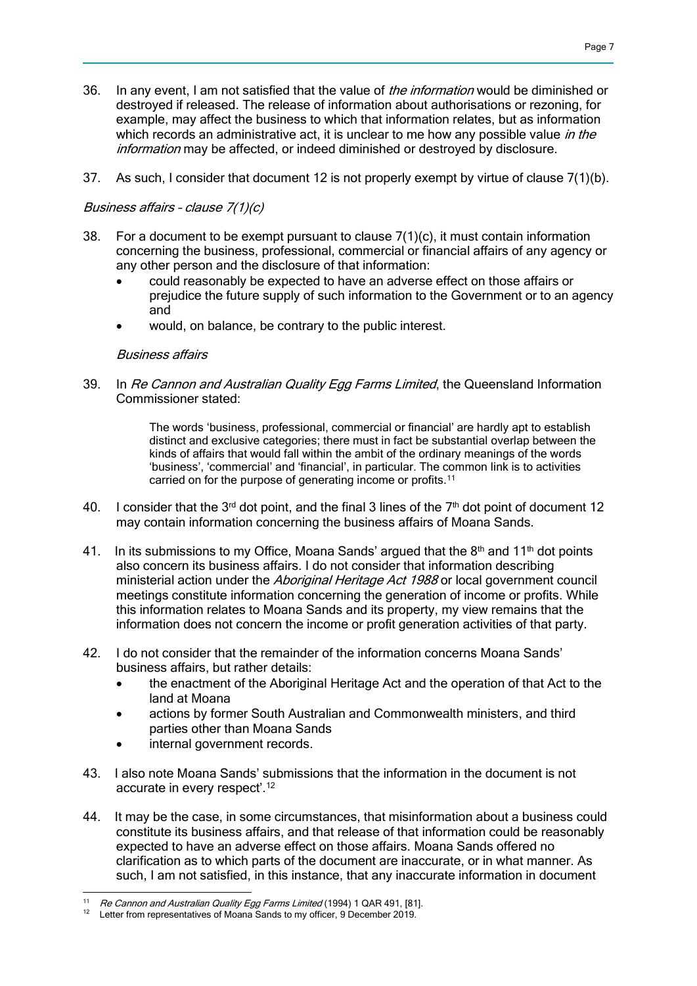- 36. In any event, I am not satisfied that the value of the information would be diminished or destroyed if released. The release of information about authorisations or rezoning, for example, may affect the business to which that information relates, but as information which records an administrative act, it is unclear to me how any possible value in the information may be affected, or indeed diminished or destroyed by disclosure.
- 37. As such, I consider that document 12 is not properly exempt by virtue of clause 7(1)(b).

## Business affairs – clause 7(1)(c)

- 38. For a document to be exempt pursuant to clause  $7(1)(c)$ , it must contain information concerning the business, professional, commercial or financial affairs of any agency or any other person and the disclosure of that information:
	- could reasonably be expected to have an adverse effect on those affairs or prejudice the future supply of such information to the Government or to an agency and
	- would, on balance, be contrary to the public interest.

## Business affairs

39. In Re Cannon and Australian Quality Egg Farms Limited, the Queensland Information Commissioner stated:

> The words 'business, professional, commercial or financial' are hardly apt to establish distinct and exclusive categories; there must in fact be substantial overlap between the kinds of affairs that would fall within the ambit of the ordinary meanings of the words 'business', 'commercial' and 'financial', in particular. The common link is to activities carried on for the purpose of generating income or profits.<sup>11</sup>

- 40. I consider that the 3<sup>rd</sup> dot point, and the final 3 lines of the  $7<sup>th</sup>$  dot point of document 12 may contain information concerning the business affairs of Moana Sands.
- 41. In its submissions to my Office, Moana Sands' argued that the  $8<sup>th</sup>$  and 11<sup>th</sup> dot points also concern its business affairs. I do not consider that information describing ministerial action under the Aboriginal Heritage Act 1988 or local government council meetings constitute information concerning the generation of income or profits. While this information relates to Moana Sands and its property, my view remains that the information does not concern the income or profit generation activities of that party.
- 42. I do not consider that the remainder of the information concerns Moana Sands' business affairs, but rather details:
	- the enactment of the Aboriginal Heritage Act and the operation of that Act to the land at Moana
	- actions by former South Australian and Commonwealth ministers, and third parties other than Moana Sands
	- internal government records.
- 43. I also note Moana Sands' submissions that the information in the document is not accurate in every respect'.<sup>12</sup>
- 44. It may be the case, in some circumstances, that misinformation about a business could constitute its business affairs, and that release of that information could be reasonably expected to have an adverse effect on those affairs. Moana Sands offered no clarification as to which parts of the document are inaccurate, or in what manner. As such, I am not satisfied, in this instance, that any inaccurate information in document

 <sup>11</sup> Re Cannon and Australian Quality Egg Farms Limited (1994) 1 QAR 491, [81].<br><sup>12</sup> Letter from representatives of Magne Sanda to my efficer 2 Desember 2010.

Letter from representatives of Moana Sands to my officer, 9 December 2019.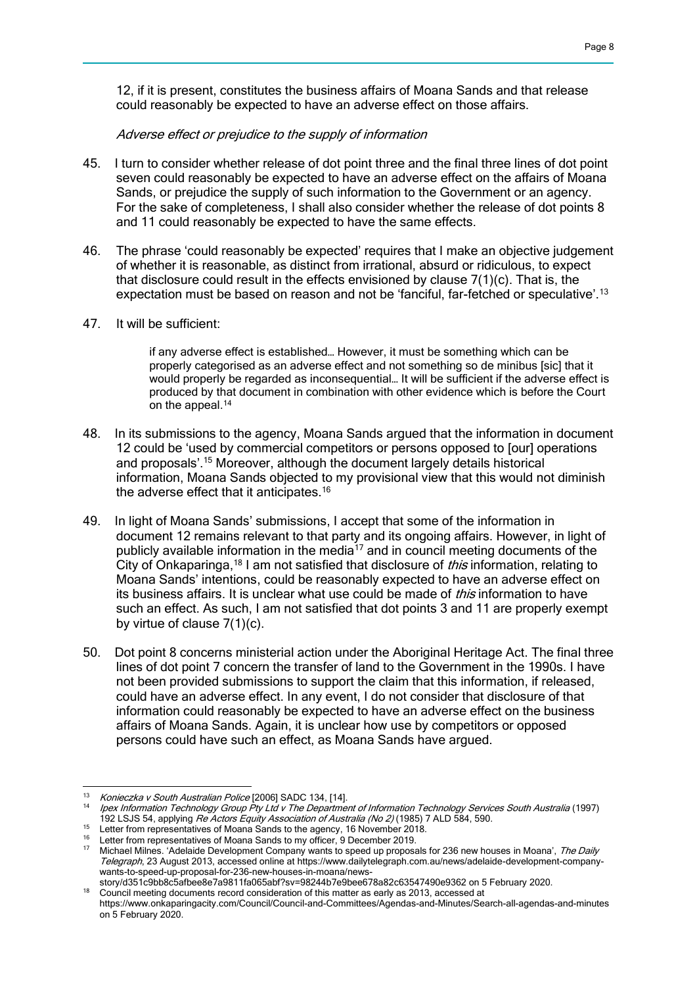12, if it is present, constitutes the business affairs of Moana Sands and that release could reasonably be expected to have an adverse effect on those affairs.

### Adverse effect or prejudice to the supply of information

- 45. I turn to consider whether release of dot point three and the final three lines of dot point seven could reasonably be expected to have an adverse effect on the affairs of Moana Sands, or prejudice the supply of such information to the Government or an agency. For the sake of completeness, I shall also consider whether the release of dot points 8 and 11 could reasonably be expected to have the same effects.
- 46. The phrase 'could reasonably be expected' requires that I make an objective judgement of whether it is reasonable, as distinct from irrational, absurd or ridiculous, to expect that disclosure could result in the effects envisioned by clause 7(1)(c). That is, the expectation must be based on reason and not be 'fanciful, far-fetched or speculative'.<sup>13</sup>
- 47. It will be sufficient:

if any adverse effect is established… However, it must be something which can be properly categorised as an adverse effect and not something so de minibus [sic] that it would properly be regarded as inconsequential… It will be sufficient if the adverse effect is produced by that document in combination with other evidence which is before the Court on the appeal.<sup>14</sup>

- 48. In its submissions to the agency, Moana Sands argued that the information in document 12 could be 'used by commercial competitors or persons opposed to [our] operations and proposals'.<sup>15</sup> Moreover, although the document largely details historical information, Moana Sands objected to my provisional view that this would not diminish the adverse effect that it anticipates.<sup>16</sup>
- 49. In light of Moana Sands' submissions, I accept that some of the information in document 12 remains relevant to that party and its ongoing affairs. However, in light of publicly available information in the media $17$  and in council meeting documents of the City of Onkaparinga,<sup>18</sup> I am not satisfied that disclosure of *this* information, relating to Moana Sands' intentions, could be reasonably expected to have an adverse effect on its business affairs. It is unclear what use could be made of *this* information to have such an effect. As such, I am not satisfied that dot points 3 and 11 are properly exempt by virtue of clause 7(1)(c).
- 50. Dot point 8 concerns ministerial action under the Aboriginal Heritage Act. The final three lines of dot point 7 concern the transfer of land to the Government in the 1990s. I have not been provided submissions to support the claim that this information, if released, could have an adverse effect. In any event, I do not consider that disclosure of that information could reasonably be expected to have an adverse effect on the business affairs of Moana Sands. Again, it is unclear how use by competitors or opposed persons could have such an effect, as Moana Sands have argued.

 $13<sup>°</sup>$ <sup>13</sup> Konieczka v South Australian Police  $[2006]$  SADC 134,  $[14]$ .

<sup>14</sup> Ipex Information Technology Group Pty Ltd v The Department of Information Technology Services South Australia (1997) 192 LSJS 54, applying Re Actors Equity Association of Australia (No 2) (1985) 7 ALD 584, 590.

<sup>&</sup>lt;sup>15</sup> Letter from representatives of Moana Sands to the agency, 16 November 2018.

<sup>16</sup> Letter from representatives of Moana Sands to my officer, 9 December 2019.

<sup>17</sup> Michael Milnes. 'Adelaide Development Company wants to speed up proposals for 236 new houses in Moana', The Daily Telegraph, 23 August 2013, accessed online at https://www.dailytelegraph.com.au/news/adelaide-development-companywants-to-speed-up-proposal-for-236-new-houses-in-moana/news-

story/d351c9bb8c5afbee8e7a9811fa065abf?sv=98244b7e9bee678a82c63547490e9362 on 5 February 2020. <sup>18</sup> Council meeting documents record consideration of this matter as early as 2013, accessed at

https://www.onkaparingacity.com/Council/Council-and-Committees/Agendas-and-Minutes/Search-all-agendas-and-minutes on 5 February 2020.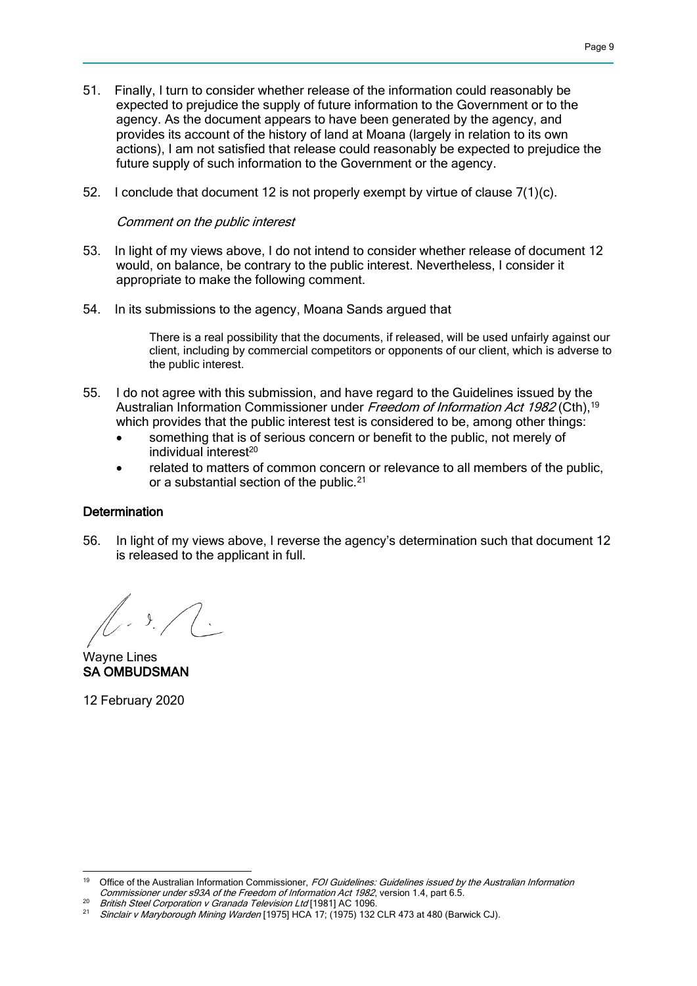- 51. Finally, I turn to consider whether release of the information could reasonably be expected to prejudice the supply of future information to the Government or to the agency. As the document appears to have been generated by the agency, and provides its account of the history of land at Moana (largely in relation to its own actions), I am not satisfied that release could reasonably be expected to prejudice the future supply of such information to the Government or the agency.
- 52. I conclude that document 12 is not properly exempt by virtue of clause 7(1)(c).

### Comment on the public interest

- 53. In light of my views above, I do not intend to consider whether release of document 12 would, on balance, be contrary to the public interest. Nevertheless, I consider it appropriate to make the following comment.
- 54. In its submissions to the agency, Moana Sands argued that

There is a real possibility that the documents, if released, will be used unfairly against our client, including by commercial competitors or opponents of our client, which is adverse to the public interest.

- 55. I do not agree with this submission, and have regard to the Guidelines issued by the Australian Information Commissioner under Freedom of Information Act 1982 (Cth),<sup>19</sup> which provides that the public interest test is considered to be, among other things:
	- something that is of serious concern or benefit to the public, not merely of  $individual$  interest $20$
	- related to matters of common concern or relevance to all members of the public, or a substantial section of the public.<sup>21</sup>

### **Determination**

56. In light of my views above, I reverse the agency's determination such that document 12 is released to the applicant in full.

 $\mathcal{Y}$ 

Wayne Lines SA OMBUDSMAN

12 February 2020

<sup>19</sup> Office of the Australian Information Commissioner, FOI Guidelines: Guidelines issued by the Australian Information Commissioner under s93A of the Freedom of Information Act 1982, version 1.4, part 6.5.

<sup>20</sup> British Steel Corporation v Granada Television Ltd [1981] AC 1096.<br>21 Singleis v Mag these ush Mining Megden [1975] UCA 17: (1975) 123.

Sinclair v Maryborough Mining Warden [1975] HCA 17; (1975) 132 CLR 473 at 480 (Barwick CJ).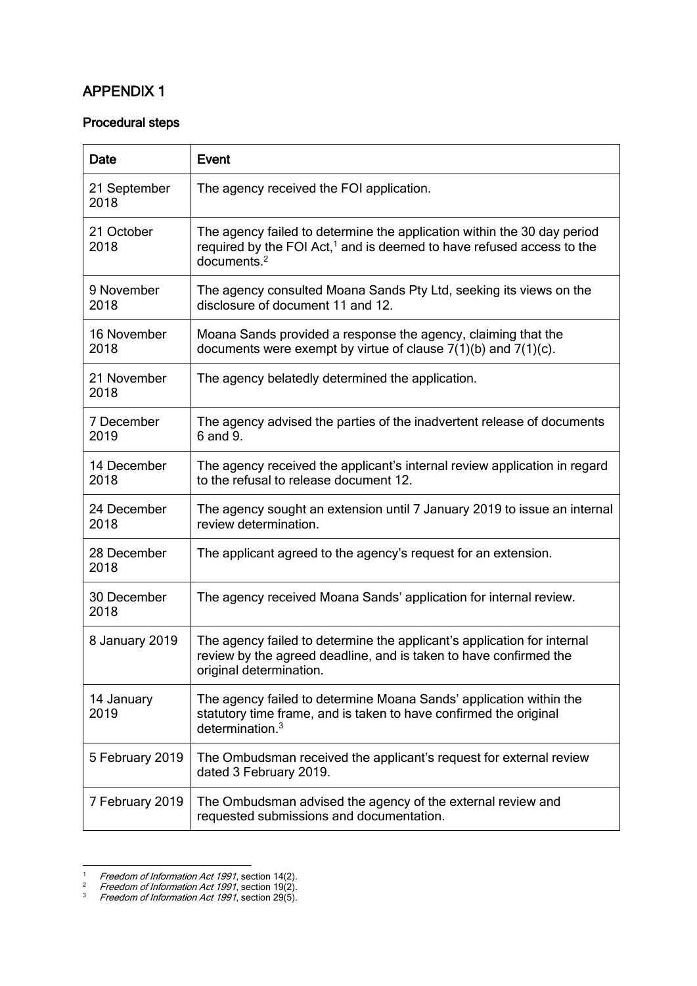# APPENDIX 1

### Procedural steps

| Date                 | Event                                                                                                                                                                                  |
|----------------------|----------------------------------------------------------------------------------------------------------------------------------------------------------------------------------------|
| 21 September<br>2018 | The agency received the FOI application.                                                                                                                                               |
| 21 October<br>2018   | The agency failed to determine the application within the 30 day period<br>required by the FOI Act, <sup>1</sup> and is deemed to have refused access to the<br>documents <sup>2</sup> |
| 9 November<br>2018   | The agency consulted Moana Sands Pty Ltd, seeking its views on the<br>disclosure of document 11 and 12.                                                                                |
| 16 November<br>2018  | Moana Sands provided a response the agency, claiming that the<br>documents were exempt by virtue of clause $7(1)(b)$ and $7(1)(c)$ .                                                   |
| 21 November<br>2018  | The agency belatedly determined the application.                                                                                                                                       |
| 7 December<br>2019   | The agency advised the parties of the inadvertent release of documents<br>6 and 9.                                                                                                     |
| 14 December<br>2018  | The agency received the applicant's internal review application in regard<br>to the refusal to release document 12.                                                                    |
| 24 December<br>2018  | The agency sought an extension until 7 January 2019 to issue an internal<br>review determination.                                                                                      |
| 28 December<br>2018  | The applicant agreed to the agency's request for an extension.                                                                                                                         |
| 30 December<br>2018  | The agency received Moana Sands' application for internal review.                                                                                                                      |
| 8 January 2019       | The agency failed to determine the applicant's application for internal<br>review by the agreed deadline, and is taken to have confirmed the<br>original determination.                |
| 14 January<br>2019   | The agency failed to determine Moana Sands' application within the<br>statutory time frame, and is taken to have confirmed the original<br>determination. $3$                          |
| 5 February 2019      | The Ombudsman received the applicant's request for external review<br>dated 3 February 2019.                                                                                           |
| 7 February 2019      | The Ombudsman advised the agency of the external review and<br>requested submissions and documentation.                                                                                |

<sup>&</sup>lt;sup>1</sup> Freedom of Information Act 1991, section 14(2).

1

<sup>&</sup>lt;sup>2</sup> Freedom of Information Act 1991, section 19(2).

 $3$  Freedom of Information Act 1991, section 29(5).